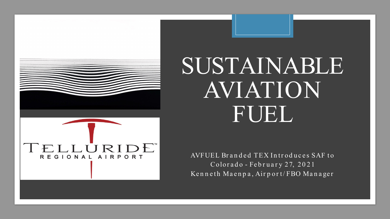

## SUSTAINABLE AVIATION FUEL

AVFUEL Branded TEX Introduces SAF to Colorado - February 27, 2021 Kenneth Maenpa, Airport/FBO Manager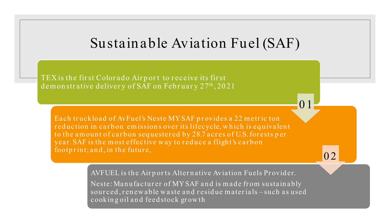## Sustainable Aviation Fuel (SAF)

0 1

0 2

TEX is the first Colorado Airport to receive its first demonstrative delivery of SAF on February 27<sup>th</sup>, 2021

Each truckload of AvFuel's Neste MY SAF provides a 22 metric ton reduction in carbon emissions over its lifecycle, which is equivalent to the amount of carbon sequestered by 28.7 acres of U.S. forests per year. SAF is the most effective way to reduce a flight's carbon footprint; and, in the future,

AVFUEL is the Airports Alternative Aviation Fuels Provider.

Neste: Manufacturer of MYSAF and is made from sustainably sourced, renew able waste and residue materials – such as used cookin g oil an d feed stock gr ow th